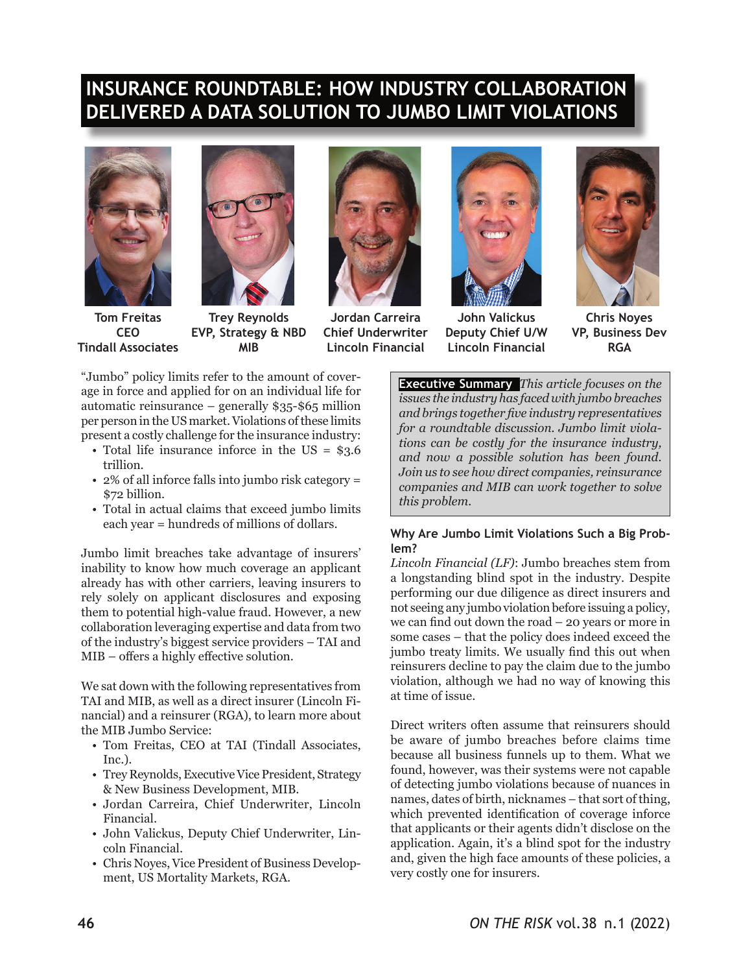# **INSURANCE ROUNDTABLE: HOW INDUSTRY COLLABORATION DELIVERED A DATA SOLUTION TO JUMBO LIMIT VIOLATIONS**





**Tom Freitas CEO Tindall Associates**

**Trey Reynolds EVP, Strategy & NBD MIB**



**Jordan Carreira Chief Underwriter Lincoln Financial**



**John Valickus Deputy Chief U/W Lincoln Financial**



**Chris Noyes VP, Business Dev RGA**

"Jumbo" policy limits refer to the amount of coverage in force and applied for on an individual life for automatic reinsurance – generally \$35-\$65 million per person in the US market. Violations of these limits present a costly challenge for the insurance industry:

- Total life insurance inforce in the US = \$3.6 trillion.
- 2% of all inforce falls into jumbo risk category = \$72 billion.
- Total in actual claims that exceed jumbo limits each year = hundreds of millions of dollars.

Jumbo limit breaches take advantage of insurers' inability to know how much coverage an applicant already has with other carriers, leaving insurers to rely solely on applicant disclosures and exposing them to potential high-value fraud. However, a new collaboration leveraging expertise and data from two of the industry's biggest service providers – TAI and MIB – offers a highly effective solution.

We sat down with the following representatives from TAI and MIB, as well as a direct insurer (Lincoln Financial) and a reinsurer (RGA), to learn more about the MIB Jumbo Service:

- Tom Freitas, CEO at TAI (Tindall Associates, Inc.).
- Trey Reynolds, Executive Vice President, Strategy & New Business Development, MIB.
- Jordan Carreira, Chief Underwriter, Lincoln Financial.
- John Valickus, Deputy Chief Underwriter, Lincoln Financial.
- Chris Noyes, Vice President of Business Development, US Mortality Markets, RGA.

**Executive Summary** *This article focuses on the issues the industry has faced with jumbo breaches and brings together five industry representatives for a roundtable discussion. Jumbo limit violations can be costly for the insurance industry, and now a possible solution has been found. Join us to see how direct companies, reinsurance companies and MIB can work together to solve this problem.*

## **Why Are Jumbo Limit Violations Such a Big Problem?**

*Lincoln Financial (LF)*: Jumbo breaches stem from a longstanding blind spot in the industry. Despite performing our due diligence as direct insurers and not seeing any jumbo violation before issuing a policy, we can find out down the road – 20 years or more in some cases – that the policy does indeed exceed the jumbo treaty limits. We usually find this out when reinsurers decline to pay the claim due to the jumbo violation, although we had no way of knowing this at time of issue.

Direct writers often assume that reinsurers should be aware of jumbo breaches before claims time because all business funnels up to them. What we found, however, was their systems were not capable of detecting jumbo violations because of nuances in names, dates of birth, nicknames – that sort of thing, which prevented identification of coverage inforce that applicants or their agents didn't disclose on the application. Again, it's a blind spot for the industry and, given the high face amounts of these policies, a very costly one for insurers.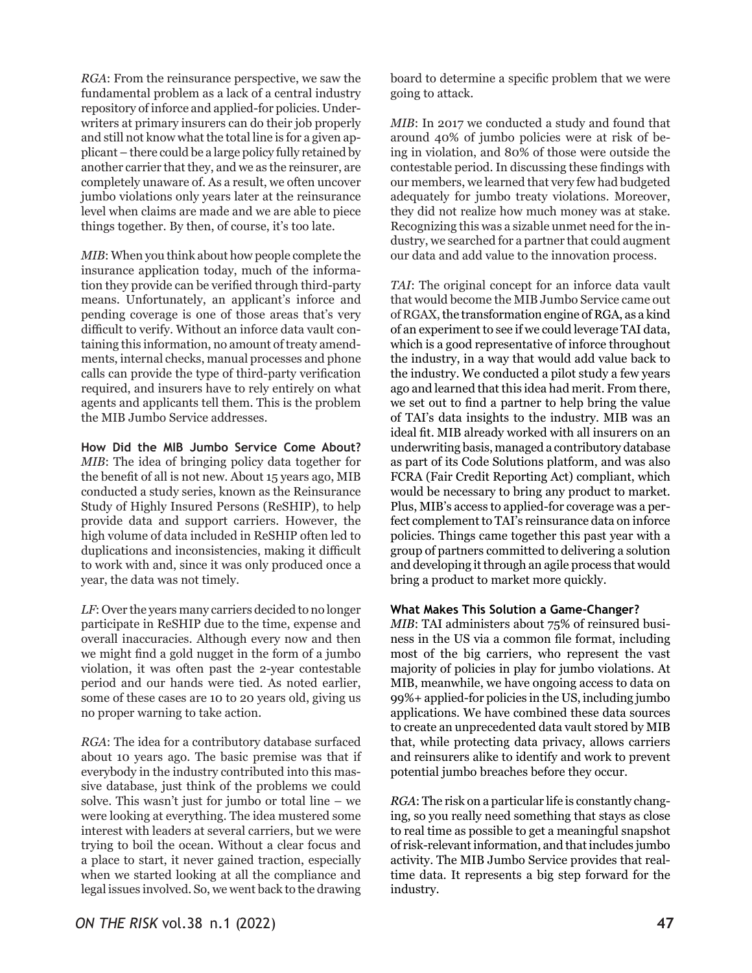*RGA*: From the reinsurance perspective, we saw the fundamental problem as a lack of a central industry repository of inforce and applied-for policies. Underwriters at primary insurers can do their job properly and still not know what the total line is for a given applicant – there could be a large policy fully retained by another carrier that they, and we as the reinsurer, are completely unaware of. As a result, we often uncover jumbo violations only years later at the reinsurance level when claims are made and we are able to piece things together. By then, of course, it's too late.

*MIB*: When you think about how people complete the insurance application today, much of the information they provide can be verified through third-party means. Unfortunately, an applicant's inforce and pending coverage is one of those areas that's very difficult to verify. Without an inforce data vault containing this information, no amount of treaty amendments, internal checks, manual processes and phone calls can provide the type of third-party verification required, and insurers have to rely entirely on what agents and applicants tell them. This is the problem the MIB Jumbo Service addresses.

**How Did the MIB Jumbo Service Come About?** *MIB*: The idea of bringing policy data together for the benefit of all is not new. About 15 years ago, MIB conducted a study series, known as the Reinsurance Study of Highly Insured Persons (ReSHIP), to help provide data and support carriers. However, the high volume of data included in ReSHIP often led to duplications and inconsistencies, making it difficult to work with and, since it was only produced once a year, the data was not timely.

*LF*: Over the years many carriers decided to no longer participate in ReSHIP due to the time, expense and overall inaccuracies. Although every now and then we might find a gold nugget in the form of a jumbo violation, it was often past the 2-year contestable period and our hands were tied. As noted earlier, some of these cases are 10 to 20 years old, giving us no proper warning to take action.

*RGA*: The idea for a contributory database surfaced about 10 years ago. The basic premise was that if everybody in the industry contributed into this massive database, just think of the problems we could solve. This wasn't just for jumbo or total line – we were looking at everything. The idea mustered some interest with leaders at several carriers, but we were trying to boil the ocean. Without a clear focus and a place to start, it never gained traction, especially when we started looking at all the compliance and legal issues involved. So, we went back to the drawing

board to determine a specific problem that we were going to attack.

*MIB*: In 2017 we conducted a study and found that around 40% of jumbo policies were at risk of being in violation, and 80% of those were outside the contestable period. In discussing these findings with our members, we learned that very few had budgeted adequately for jumbo treaty violations. Moreover, they did not realize how much money was at stake. Recognizing this was a sizable unmet need for the industry, we searched for a partner that could augment our data and add value to the innovation process.

*TAI*: The original concept for an inforce data vault that would become the MIB Jumbo Service came out of RGAX, the transformation engine of RGA, as a kind of an experiment to see if we could leverage TAI data, which is a good representative of inforce throughout the industry, in a way that would add value back to the industry. We conducted a pilot study a few years ago and learned that this idea had merit. From there, we set out to find a partner to help bring the value of TAI's data insights to the industry. MIB was an ideal fit. MIB already worked with all insurers on an underwriting basis, managed a contributory database as part of its Code Solutions platform, and was also FCRA (Fair Credit Reporting Act) compliant, which would be necessary to bring any product to market. Plus, MIB's access to applied-for coverage was a perfect complement to TAI's reinsurance data on inforce policies. Things came together this past year with a group of partners committed to delivering a solution and developing it through an agile process that would bring a product to market more quickly.

#### **What Makes This Solution a Game-Changer?**

*MIB*: TAI administers about 75% of reinsured business in the US via a common file format, including most of the big carriers, who represent the vast majority of policies in play for jumbo violations. At MIB, meanwhile, we have ongoing access to data on 99%+ applied-for policies in the US, including jumbo applications. We have combined these data sources to create an unprecedented data vault stored by MIB that, while protecting data privacy, allows carriers and reinsurers alike to identify and work to prevent potential jumbo breaches before they occur.

*RGA*: The risk on a particular life is constantly changing, so you really need something that stays as close to real time as possible to get a meaningful snapshot of risk-relevant information, and that includes jumbo activity. The MIB Jumbo Service provides that realtime data. It represents a big step forward for the industry.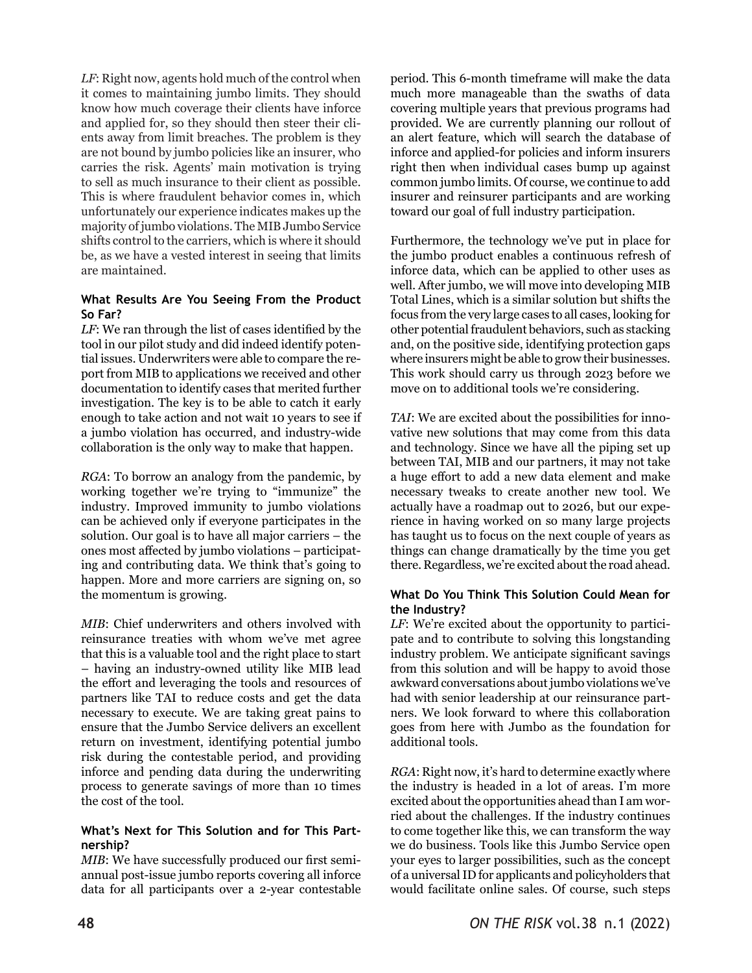*LF*: Right now, agents hold much of the control when it comes to maintaining jumbo limits. They should know how much coverage their clients have inforce and applied for, so they should then steer their clients away from limit breaches. The problem is they are not bound by jumbo policies like an insurer, who carries the risk. Agents' main motivation is trying to sell as much insurance to their client as possible. This is where fraudulent behavior comes in, which unfortunately our experience indicates makes up the majority of jumbo violations. The MIB Jumbo Service shifts control to the carriers, which is where it should be, as we have a vested interest in seeing that limits are maintained.

### **What Results Are You Seeing From the Product So Far?**

*LF*: We ran through the list of cases identified by the tool in our pilot study and did indeed identify potential issues. Underwriters were able to compare the report from MIB to applications we received and other documentation to identify cases that merited further investigation. The key is to be able to catch it early enough to take action and not wait 10 years to see if a jumbo violation has occurred, and industry-wide collaboration is the only way to make that happen.

*RGA*: To borrow an analogy from the pandemic, by working together we're trying to "immunize" the industry. Improved immunity to jumbo violations can be achieved only if everyone participates in the solution. Our goal is to have all major carriers – the ones most affected by jumbo violations – participating and contributing data. We think that's going to happen. More and more carriers are signing on, so the momentum is growing.

*MIB*: Chief underwriters and others involved with reinsurance treaties with whom we've met agree that this is a valuable tool and the right place to start – having an industry-owned utility like MIB lead the effort and leveraging the tools and resources of partners like TAI to reduce costs and get the data necessary to execute. We are taking great pains to ensure that the Jumbo Service delivers an excellent return on investment, identifying potential jumbo risk during the contestable period, and providing inforce and pending data during the underwriting process to generate savings of more than 10 times the cost of the tool.

## **What's Next for This Solution and for This Partnership?**

*MIB*: We have successfully produced our first semiannual post-issue jumbo reports covering all inforce data for all participants over a 2-year contestable period. This 6-month timeframe will make the data much more manageable than the swaths of data covering multiple years that previous programs had provided. We are currently planning our rollout of an alert feature, which will search the database of inforce and applied-for policies and inform insurers right then when individual cases bump up against common jumbo limits. Of course, we continue to add insurer and reinsurer participants and are working toward our goal of full industry participation.

Furthermore, the technology we've put in place for the jumbo product enables a continuous refresh of inforce data, which can be applied to other uses as well. After jumbo, we will move into developing MIB Total Lines, which is a similar solution but shifts the focus from the very large cases to all cases, looking for other potential fraudulent behaviors, such as stacking and, on the positive side, identifying protection gaps where insurers might be able to grow their businesses. This work should carry us through 2023 before we move on to additional tools we're considering.

*TAI*: We are excited about the possibilities for innovative new solutions that may come from this data and technology. Since we have all the piping set up between TAI, MIB and our partners, it may not take a huge effort to add a new data element and make necessary tweaks to create another new tool. We actually have a roadmap out to 2026, but our experience in having worked on so many large projects has taught us to focus on the next couple of years as things can change dramatically by the time you get there. Regardless, we're excited about the road ahead.

## **What Do You Think This Solution Could Mean for the Industry?**

*LF*: We're excited about the opportunity to participate and to contribute to solving this longstanding industry problem. We anticipate significant savings from this solution and will be happy to avoid those awkward conversations about jumbo violations we've had with senior leadership at our reinsurance partners. We look forward to where this collaboration goes from here with Jumbo as the foundation for additional tools.

*RGA*: Right now, it's hard to determine exactly where the industry is headed in a lot of areas. I'm more excited about the opportunities ahead than I am worried about the challenges. If the industry continues to come together like this, we can transform the way we do business. Tools like this Jumbo Service open your eyes to larger possibilities, such as the concept of a universal ID for applicants and policyholders that would facilitate online sales. Of course, such steps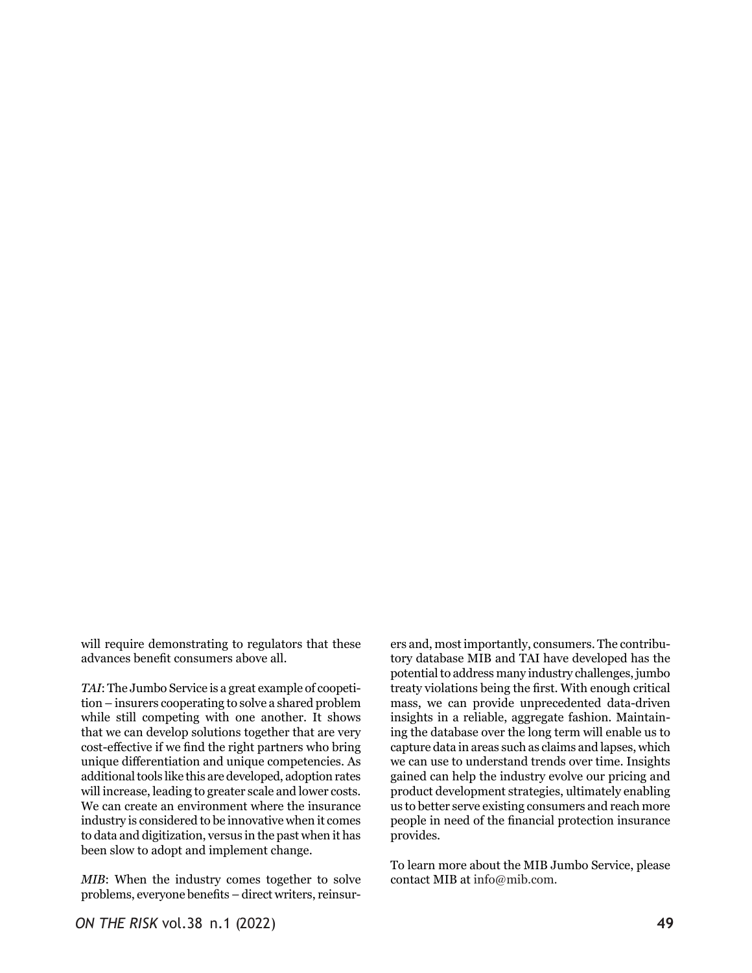will require demonstrating to regulators that these advances benefit consumers above all.

*TAI*: The Jumbo Service is a great example of coopetition – insurers cooperating to solve a shared problem while still competing with one another. It shows that we can develop solutions together that are very cost-effective if we find the right partners who bring unique differentiation and unique competencies. As additional tools like this are developed, adoption rates will increase, leading to greater scale and lower costs. We can create an environment where the insurance industry is considered to be innovative when it comes to data and digitization, versus in the past when it has been slow to adopt and implement change.

*MIB*: When the industry comes together to solve problems, everyone benefits – direct writers, reinsurers and, most importantly, consumers. The contributory database MIB and TAI have developed has the potential to address many industry challenges, jumbo treaty violations being the first. With enough critical mass, we can provide unprecedented data-driven insights in a reliable, aggregate fashion. Maintaining the database over the long term will enable us to capture data in areas such as claims and lapses, which we can use to understand trends over time. Insights gained can help the industry evolve our pricing and product development strategies, ultimately enabling us to better serve existing consumers and reach more people in need of the financial protection insurance provides.

To learn more about the MIB Jumbo Service, please contact MIB at info@mib.com.